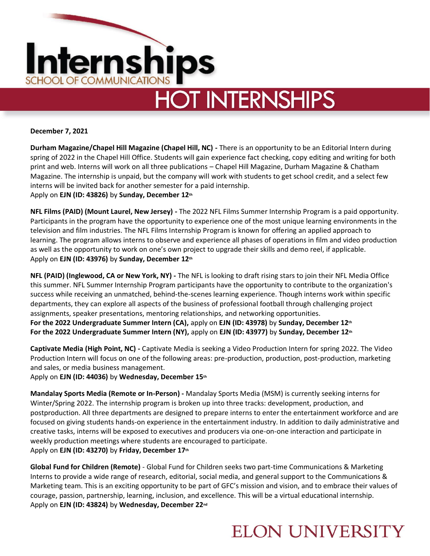

# **HOT INTERNSHIPS**

#### **December 7, 2021**

**Durham Magazine/Chapel Hill Magazine (Chapel Hill, NC) -** There is an opportunity to be an Editorial Intern during spring of 2022 in the Chapel Hill Office. Students will gain experience fact checking, copy editing and writing for both print and web. Interns will work on all three publications – Chapel Hill Magazine, Durham Magazine & Chatham Magazine. The internship is unpaid, but the company will work with students to get school credit, and a select few interns will be invited back for another semester for a paid internship. Apply on **EJN (ID: 43826)** by **Sunday, December 12th**

**NFL Films (PAID) (Mount Laurel, New Jersey) -** The 2022 NFL Films Summer Internship Program is a paid opportunity. Participants in the program have the opportunity to experience one of the most unique learning environments in the television and film industries. The NFL Films Internship Program is known for offering an applied approach to learning. The program allows interns to observe and experience all phases of operations in film and video production as well as the opportunity to work on one's own project to upgrade their skills and demo reel, if applicable. Apply on **EJN (ID: 43976)** by **Sunday, December 12th**

**NFL (PAID) (Inglewood, CA or New York, NY) -** The NFL is looking to draft rising stars to join their NFL Media Office this summer. NFL Summer Internship Program participants have the opportunity to contribute to the organization's success while receiving an unmatched, behind-the-scenes learning experience. Though interns work within specific departments, they can explore all aspects of the business of professional football through challenging project assignments, speaker presentations, mentoring relationships, and networking opportunities. **For the 2022 Undergraduate Summer Intern (CA),** apply on **EJN (ID: 43978)** by **Sunday, December 12th For the 2022 Undergraduate Summer Intern (NY),** apply on **EJN (ID: 43977)** by **Sunday, December 12th**

**Captivate Media (High Point, NC) -** Captivate Media is seeking a Video Production Intern for spring 2022. The Video Production Intern will focus on one of the following areas: pre-production, production, post-production, marketing and sales, or media business management.

Apply on **EJN (ID: 44036)** by **Wednesday, December 15th**

**Mandalay Sports Media (Remote or In-Person) -** Mandalay Sports Media (MSM) is currently seeking interns for Winter/Spring 2022. The internship program is broken up into three tracks: development, production, and postproduction. All three departments are designed to prepare interns to enter the entertainment workforce and are focused on giving students hands-on experience in the entertainment industry. In addition to daily administrative and creative tasks, interns will be exposed to executives and producers via one-on-one interaction and participate in weekly production meetings where students are encouraged to participate. Apply on **EJN (ID: 43270)** by **Friday, December 17th**

**Global Fund for Children (Remote)** - Global Fund for Children seeks two part-time Communications & Marketing Interns to provide a wide range of research, editorial, social media, and general support to the Communications & Marketing team. This is an exciting opportunity to be part of GFC's mission and vision, and to embrace their values of courage, passion, partnership, learning, inclusion, and excellence. This will be a virtual educational internship. Apply on **EJN (ID: 43824)** by **Wednesday, December 22nd**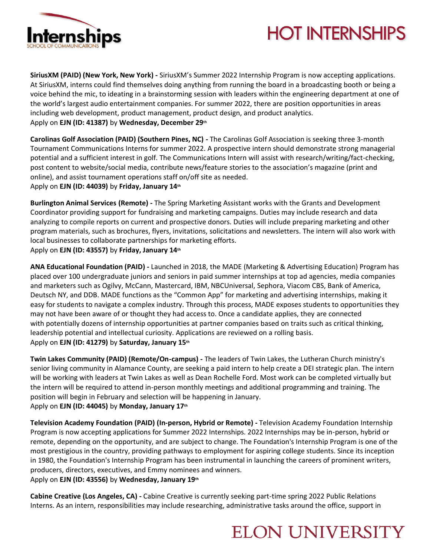

# **HOT INTERNSHIPS**

**SiriusXM (PAID) (New York, New York) -** SiriusXM's Summer 2022 Internship Program is now accepting applications. At SiriusXM, interns could find themselves doing anything from running the board in a broadcasting booth or being a voice behind the mic, to ideating in a brainstorming session with leaders within the engineering department at one of the world's largest audio entertainment companies. For summer 2022, there are position opportunities in areas including web development, product management, product design, and product analytics. Apply on **EJN (ID: 41387)** by **Wednesday, December 29th**

**Carolinas Golf Association (PAID) (Southern Pines, NC) -** The Carolinas Golf Association is seeking three 3-month Tournament Communications Interns for summer 2022. A prospective intern should demonstrate strong managerial potential and a sufficient interest in golf. The Communications Intern will assist with research/writing/fact-checking, post content to website/social media, contribute news/feature stories to the association's magazine (print and online), and assist tournament operations staff on/off site as needed. Apply on **EJN (ID: 44039)** by **Friday, January 14th**

**Burlington Animal Services (Remote) -** The Spring Marketing Assistant works with the Grants and Development Coordinator providing support for fundraising and marketing campaigns. Duties may include research and data analyzing to compile reports on current and prospective donors. Duties will include preparing marketing and other program materials, such as brochures, flyers, invitations, solicitations and newsletters. The intern will also work with local businesses to collaborate partnerships for marketing efforts. Apply on **EJN (ID: 43557)** by **Friday, January 14th**

**ANA Educational Foundation (PAID) -** Launched in 2018, the MADE (Marketing & Advertising Education) Program has placed over 100 undergraduate juniors and seniors in paid summer internships at top ad agencies, media companies and marketers such as Ogilvy, McCann, Mastercard, IBM, NBCUniversal, Sephora, Viacom CBS, Bank of America, Deutsch NY, and DDB. MADE functions as the "Common App" for marketing and advertising internships, making it easy for students to navigate a complex industry. Through this process, MADE exposes students to opportunities they may not have been aware of or thought they had access to. Once a candidate applies, they are connected with potentially dozens of internship opportunities at partner companies based on traits such as critical thinking, leadership potential and intellectual curiosity. Applications are reviewed on a rolling basis. Apply on **EJN (ID: 41279)** by **Saturday, January 15th**

**Twin Lakes Community (PAID) (Remote/On-campus) -** The leaders of Twin Lakes, the Lutheran Church ministry's senior living community in Alamance County, are seeking a paid intern to help create a DEI strategic plan. The intern will be working with leaders at Twin Lakes as well as Dean Rochelle Ford. Most work can be completed virtually but the intern will be required to attend in-person monthly meetings and additional programming and training. The position will begin in February and selection will be happening in January. Apply on **EJN (ID: 44045)** by **Monday, January 17th**

**Television Academy Foundation (PAID) (In-person, Hybrid or Remote) -** Television Academy Foundation Internship Program is now accepting applications for Summer 2022 Internships. 2022 Internships may be in-person, hybrid or remote, depending on the opportunity, and are subject to change. The Foundation's Internship Program is one of the most prestigious in the country, providing pathways to employment for aspiring college students. Since its inception in 1980, the Foundation's Internship Program has been instrumental in launching the careers of prominent writers, producers, directors, executives, and Emmy nominees and winners.

Apply on **EJN (ID: 43556)** by **Wednesday, January 19th**

**Cabine Creative (Los Angeles, CA) -** Cabine Creative is currently seeking part-time spring 2022 Public Relations Interns. As an intern, responsibilities may include researching, administrative tasks around the office, support in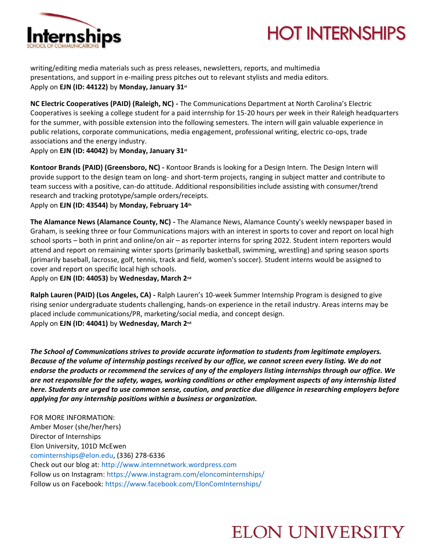



writing/editing media materials such as press releases, newsletters, reports, and multimedia presentations, and support in e-mailing press pitches out to relevant stylists and media editors. Apply on **EJN (ID: 44122)** by **Monday, January 31st**

**NC Electric Cooperatives (PAID) (Raleigh, NC) -** The Communications Department at North Carolina's Electric Cooperatives is seeking a college student for a paid internship for 15-20 hours per week in their Raleigh headquarters for the summer, with possible extension into the following semesters. The intern will gain valuable experience in public relations, corporate communications, media engagement, professional writing, electric co-ops, trade associations and the energy industry.

Apply on **EJN (ID: 44042)** by **Monday, January 31st**

**Kontoor Brands (PAID) (Greensboro, NC) -** Kontoor Brands is looking for a Design Intern. The Design Intern will provide support to the design team on long- and short-term projects, ranging in subject matter and contribute to team success with a positive, can-do attitude. Additional responsibilities include assisting with consumer/trend research and tracking prototype/sample orders/receipts. Apply on **EJN (ID: 43544)** by **Monday, February 14th**

**The Alamance News (Alamance County, NC) -** The Alamance News, Alamance County's weekly newspaper based in Graham, is seeking three or four Communications majors with an interest in sports to cover and report on local high school sports – both in print and online/on air – as reporter interns for spring 2022. Student intern reporters would attend and report on remaining winter sports (primarily basketball, swimming, wrestling) and spring season sports (primarily baseball, lacrosse, golf, tennis, track and field, women's soccer). Student interns would be assigned to cover and report on specific local high schools.

Apply on **EJN (ID: 44053)** by **Wednesday, March 2nd**

**Ralph Lauren (PAID) (Los Angeles, CA) -** Ralph Lauren's 10-week Summer Internship Program is designed to give rising senior undergraduate students challenging, hands-on experience in the retail industry. Areas interns may be placed include communications/PR, marketing/social media, and concept design. Apply on **EJN (ID: 44041)** by **Wednesday, March 2nd**

*The School of Communications strives to provide accurate information to students from legitimate employers. Because of the volume of internship postings received by our office, we cannot screen every listing. We do not endorse the products or recommend the services of any of the employers listing internships through our office. We are not responsible for the safety, wages, working conditions or other employment aspects of any internship listed here. Students are urged to use common sense, caution, and practice due diligence in researching employers before applying for any internship positions within a business or organization.*

FOR MORE INFORMATION: Amber Moser (she/her/hers) Director of Internships Elon University, 101D McEwen [cominternships@elon.edu,](mailto:cominternships@elon.edu) (336) 278-6336 Check out our blog at: [http://www.internnetwork.wordpress.com](http://www.internnetwork.wordpress.com/) Follow us on Instagram: <https://www.instagram.com/eloncominternships/> Follow us on Facebook: <https://www.facebook.com/ElonComInternships/>